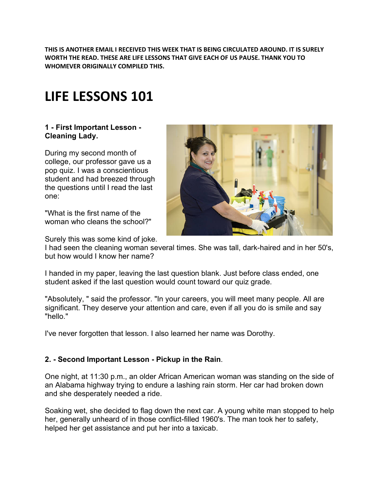**THIS IS ANOTHER EMAIL I RECEIVED THIS WEEK THAT IS BEING CIRCULATED AROUND. IT IS SURELY WORTH THE READ. THESE ARE LIFE LESSONS THAT GIVE EACH OF US PAUSE. THANK YOU TO WHOMEVER ORIGINALLY COMPILED THIS.**

# **LIFE LESSONS 101**

### **1 - First Important Lesson - Cleaning Lady.**

During my second month of college, our professor gave us a pop quiz. I was a conscientious student and had breezed through the questions until I read the last one:

"What is the first name of the woman who cleans the school?"



Surely this was some kind of joke.

I had seen the cleaning woman several times. She was tall, dark-haired and in her 50's, but how would I know her name?

I handed in my paper, leaving the last question blank. Just before class ended, one student asked if the last question would count toward our quiz grade.

"Absolutely, " said the professor. "In your careers, you will meet many people. All are significant. They deserve your attention and care, even if all you do is smile and say "hello."

I've never forgotten that lesson. I also learned her name was Dorothy.

### **2. - Second Important Lesson - Pickup in the Rain**.

One night, at 11:30 p.m., an older African American woman was standing on the side of an Alabama highway trying to endure a lashing rain storm. Her car had broken down and she desperately needed a ride.

Soaking wet, she decided to flag down the next car. A young white man stopped to help her, generally unheard of in those conflict-filled 1960's. The man took her to safety, helped her get assistance and put her into a taxicab.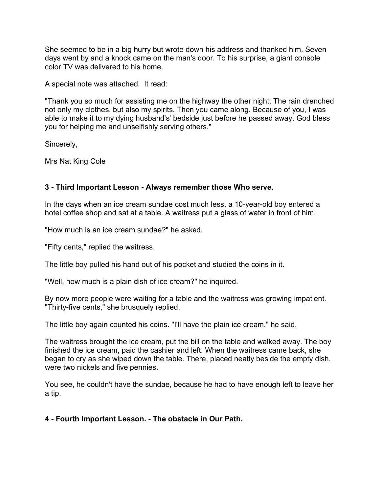She seemed to be in a big hurry but wrote down his address and thanked him. Seven days went by and a knock came on the man's door. To his surprise, a giant console color TV was delivered to his home.

A special note was attached. It read:

"Thank you so much for assisting me on the highway the other night. The rain drenched not only my clothes, but also my spirits. Then you came along. Because of you, I was able to make it to my dying husband's' bedside just before he passed away. God bless you for helping me and unselfishly serving others."

Sincerely,

Mrs Nat King Cole

### **3 - Third Important Lesson - Always remember those Who serve.**

In the days when an ice cream sundae cost much less, a 10-year-old boy entered a hotel coffee shop and sat at a table. A waitress put a glass of water in front of him.

"How much is an ice cream sundae?" he asked.

"Fifty cents," replied the waitress.

The little boy pulled his hand out of his pocket and studied the coins in it.

"Well, how much is a plain dish of ice cream?" he inquired.

By now more people were waiting for a table and the waitress was growing impatient. "Thirty-five cents," she brusquely replied.

The little boy again counted his coins. "I'll have the plain ice cream," he said.

The waitress brought the ice cream, put the bill on the table and walked away. The boy finished the ice cream, paid the cashier and left. When the waitress came back, she began to cry as she wiped down the table. There, placed neatly beside the empty dish, were two nickels and five pennies.

You see, he couldn't have the sundae, because he had to have enough left to leave her a tip.

**4 - Fourth Important Lesson. - The obstacle in Our Path.**